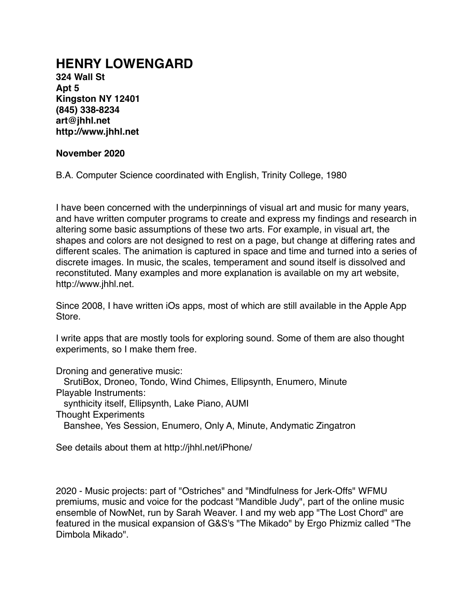# **HENRY LOWENGARD**

**324 Wall St Apt 5 Kingston NY 12401 (845) 338-8234 art@jhhl.net http://www.jhhl.net** 

#### **November 2020**

B.A. Computer Science coordinated with English, Trinity College, 1980

I have been concerned with the underpinnings of visual art and music for many years, and have written computer programs to create and express my findings and research in altering some basic assumptions of these two arts. For example, in visual art, the shapes and colors are not designed to rest on a page, but change at differing rates and different scales. The animation is captured in space and time and turned into a series of discrete images. In music, the scales, temperament and sound itself is dissolved and reconstituted. Many examples and more explanation is available on my art website, http://www.jhhl.net.

Since 2008, I have written iOs apps, most of which are still available in the Apple App Store.

I write apps that are mostly tools for exploring sound. Some of them are also thought experiments, so I make them free.

Droning and generative music:

SrutiBox, Droneo, Tondo, Wind Chimes, Ellipsynth, Enumero, Minute

Playable Instruments:

synthicity itself, Ellipsynth, Lake Piano, AUMI

Thought Experiments

Banshee, Yes Session, Enumero, Only A, Minute, Andymatic Zingatron

See details about them at http://jhhl.net/iPhone/

2020 - Music projects: part of "Ostriches" and "Mindfulness for Jerk-Offs" WFMU premiums, music and voice for the podcast "Mandible Judy", part of the online music ensemble of NowNet, run by Sarah Weaver. I and my web app "The Lost Chord" are featured in the musical expansion of G&S's "The Mikado" by Ergo Phizmiz called "The Dimbola Mikado".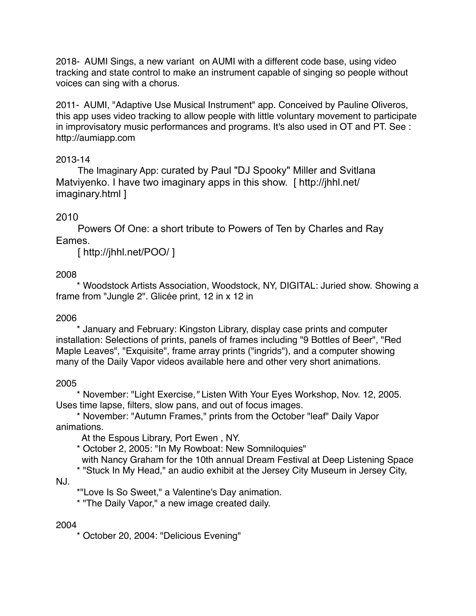2018- AUMI Sings, a new variant on AUMI with a different code base, using video tracking and state control to make an instrument capable of singing so people without voices can sing with a chorus.

2011- AUMI, "Adaptive Use Musical Instrument" app. Conceived by Pauline Oliveros, this app uses video tracking to allow people with little voluntary movement to participate in improvisatory music performances and programs. It's also used in OT and PT. See : http://aumiapp.com

## 2013-14

The Imaginary App: curated by Paul "DJ Spooky" Miller and Svitlana Matviyenko. I have two imaginary apps in this show. [http://jhhl.net/ imaginary.html ]

# 2010

Powers Of One: a short tribute to Powers of Ten by Charles and Ray Eames.

[ http://jhhl.net/POO/ ]

# 2008

 \* Woodstock Artists Association, Woodstock, NY, DIGITAL: Juried show. Showing a frame from "Jungle 2". Glicée print, 12 in x 12 in

# 2006

 \* January and February: Kingston Library, display case prints and computer installation: Selections of prints, panels of frames including "9 Bottles of Beer", "Red Maple Leaves", "Exquisite", frame array prints ("ingrids"), and a computer showing many of the Daily Vapor videos available here and other very short animations.

# 2005

 \* November: "Light Exercise*,"* Listen With Your Eyes Workshop, Nov. 12, 2005. Uses time lapse, filters, slow pans, and out of focus images.

 \* November: "Autumn Frames," prints from the October "leaf" Daily Vapor animations.

At the Espous Library, Port Ewen , NY.

\* October 2, 2005: "In My Rowboat: New Somniloquies"

with Nancy Graham for the 10th annual Dream Festival at Deep Listening Space

\* "Stuck In My Head," an audio exhibit at the Jersey City Museum in Jersey City,

NJ.

\*"Love Is So Sweet," a Valentine's Day animation.

\* "The Daily Vapor," a new image created daily.

#### 2004

\* October 20, 2004: "Delicious Evening"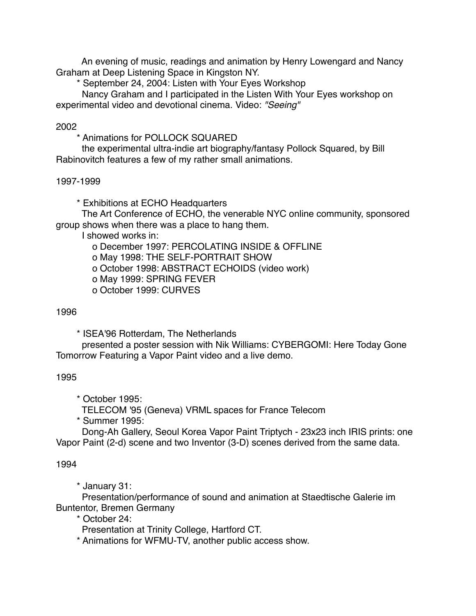An evening of music, readings and animation by Henry Lowengard and Nancy Graham at Deep Listening Space in Kingston NY.

\* September 24, 2004: Listen with Your Eyes Workshop

 Nancy Graham and I participated in the Listen With Your Eyes workshop on experimental video and devotional cinema. Video: *"Seeing"* 

2002

\* Animations for POLLOCK SQUARED

 the experimental ultra-indie art biography/fantasy Pollock Squared, by Bill Rabinovitch features a few of my rather small animations.

## 1997-1999

\* Exhibitions at ECHO Headquarters

 The Art Conference of ECHO, the venerable NYC online community, sponsored group shows when there was a place to hang them.

I showed works in:

o December 1997: PERCOLATING INSIDE & OFFLINE

o May 1998: THE SELF-PORTRAIT SHOW

o October 1998: ABSTRACT ECHOIDS (video work)

o May 1999: SPRING FEVER

o October 1999: CURVES

### 1996

\* ISEA'96 Rotterdam, The Netherlands

 presented a poster session with Nik Williams: CYBERGOMI: Here Today Gone Tomorrow Featuring a Vapor Paint video and a live demo.

# 1995

\* October 1995:

TELECOM '95 (Geneva) VRML spaces for France Telecom

\* Summer 1995:

 Dong-Ah Gallery, Seoul Korea Vapor Paint Triptych - 23x23 inch IRIS prints: one Vapor Paint (2-d) scene and two Inventor (3-D) scenes derived from the same data.

# 1994

\* January 31:

 Presentation/performance of sound and animation at Staedtische Galerie im Buntentor, Bremen Germany

\* October 24:

Presentation at Trinity College, Hartford CT.

\* Animations for WFMU-TV, another public access show.